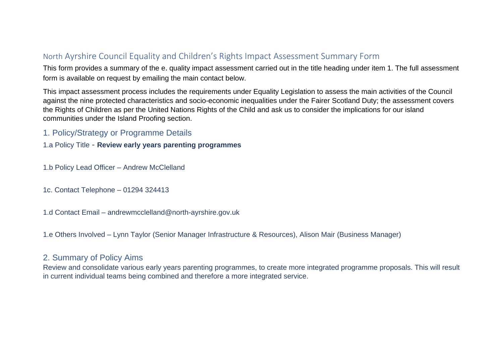# North Ayrshire Council Equality and Children's Rights Impact Assessment Summary Form

This form provides a summary of the e. quality impact assessment carried out in the title heading under item 1. The full assessment form is available on request by emailing the main contact below.

This impact assessment process includes the requirements under Equality Legislation to assess the main activities of the Council against the nine protected characteristics and socio-economic inequalities under the Fairer Scotland Duty; the assessment covers the Rights of Children as per the United Nations Rights of the Child and ask us to consider the implications for our island communities under the Island Proofing section.

## 1. Policy/Strategy or Programme Details

1.a Policy Title - **Review early years parenting programmes**

- 1.b Policy Lead Officer Andrew McClelland
- 1c. Contact Telephone 01294 324413
- 1.d Contact Email andrewmcclelland@north-ayrshire.gov.uk
- 1.e Others Involved Lynn Taylor (Senior Manager Infrastructure & Resources), Alison Mair (Business Manager)

## 2. Summary of Policy Aims

Review and consolidate various early years parenting programmes, to create more integrated programme proposals. This will result in current individual teams being combined and therefore a more integrated service.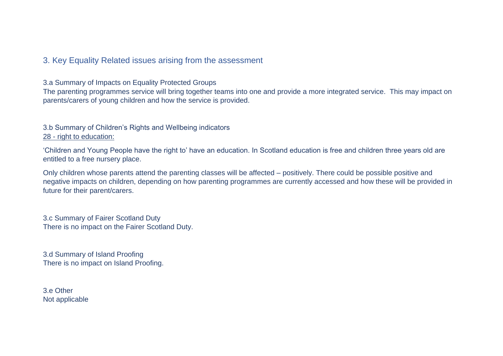## 3. Key Equality Related issues arising from the assessment

3.a Summary of Impacts on Equality Protected Groups

The parenting programmes service will bring together teams into one and provide a more integrated service. This may impact on parents/carers of young children and how the service is provided.

#### 3.b Summary of Children's Rights and Wellbeing indicators 28 - right to education:

'Children and Young People have the right to' have an education. In Scotland education is free and children three years old are entitled to a free nursery place.

Only children whose parents attend the parenting classes will be affected – positively. There could be possible positive and negative impacts on children, depending on how parenting programmes are currently accessed and how these will be provided in future for their parent/carers.

3.c Summary of Fairer Scotland Duty There is no impact on the Fairer Scotland Duty.

3.d Summary of Island Proofing There is no impact on Island Proofing.

3.e Other Not applicable